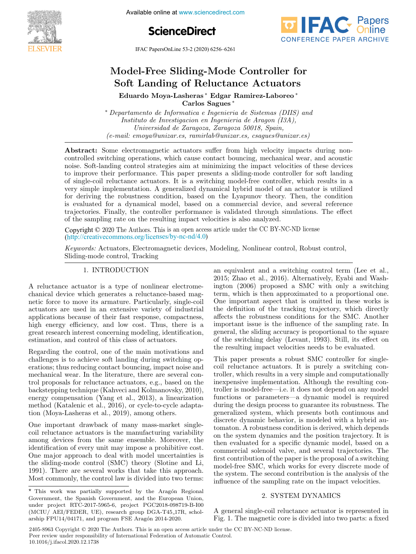

Available online at www.sciencedirect.com





IFAC PapersOnLine 53-2 (2020) 6256–6261  $MAC$  I apersonizing 33-2 (2020) 0230-0201

# Model-Free Sliding-Mode Controller for wodel-rree Shamg-Mode Controller id Eduardo Moya-Lasheras ∗ Edgar Ramirez-Laboreo <mark>\*</mark> Model-Free Sliding-Mode Controller for<br>Soft Landing of Reluctance Actuators Nouer Tree ≈ Eduardo ≈ Eduardo ∗ Eduardo ∗ Eduardo ∗ Eduardo ∗ Eduardo ∗ Eduardo ∗ Eduardo ∗ Eduardo ∗ Eduardo ∗ E

Carlos Sagues ∗ Carlos Sagues ∗ Carlos Sagues ∗ Eduardo Moya-Lasheras ∗ Edgar Ramirez-Laboreo ∗

Instituto de Investigación en Ingeniería de Aragón (I3A),<br>Instituto de Investigación en Ingeniería de Aragón (I3A), Instituto de Investigación en Ingeniería de Aragón (15A),<br>Universidad de Zaragoza, Zaragoza 50018, Spain, Universidad de Zaragoza, Zaragoza 50018, Spain, (e-mail: emoya@unizar.es, ramirlab@unizar.es, csagues@unizar.es) ∗ Departamento de Informatica e Ingenieria de Sistemas (DIIS) and ∗ Departamento de Informatica e Ingenieria de Sistemas (DIIS) and Carlos Sagues ∗ Instituto de Investigacion en Ingenieria de Aragon (I3A),Universidad de Zaragoza, Zaragoza 50018, Spain,(e-mail: emoya@unizar.es, ramirlab@unizar.es, csagues@unizar.es) $\it all \cdot emoua@unizar es \, ramirla}$ h $@unizar es \, can es@uniza$  $\mathcal{L}$ 

(emotion  $\mathcal{C}$  raminizar.es, raminizar.es, raminizar.es, csagues $\mathcal{C}$ 

controlled switching operations, which cause contact bouncing, mechanical wear, and acoustic controlled switching operations, which cause contact bouncing, incentificate wear, and acoustic noise. Soft-landing control strategies aim at minimizing the impact velocities of these devices to improve their performance. This paper presents a sliding-mode controller for soft landing of single-coil reluctance actuators. It is a switching model-free controller, which results in a or single-con-relations. The article is a switching model-free controller, which results in a<br>very simple implementation. A generalized dynamical hybrid model of an actuator is utilized<br>for deriving the robustness conditio for deriving the robustness condition, based on the Lyapunov theory. Then, the condition is evaluated for a dynamical model, based on a commercial device, and several reference<br>trajectories. Finally, the controller performance is validated through simulations. The effect trajectories. Finally, the controller performance is validated through simulations. The effect of the sampling rate on the resulting impact velocities is also analyzed. Abstract: Some electromagnetic actuators suffer from high velocity impacts during nonholse. Som-landing control strategies aim at minimizing the impact velocities of these devices to improve their performance. This paper presents a sliding-mode controller for soft landing of single-coil reluctance actuators. It is a switching model-free controller, which results in a very simple implementation. A generalized dynamical hybrid model of an actuator is utilized for deriving the robustness condition, based on the Lyapunov theory. Then, the condition

Comparison of the content of the content of the control of the content of the CC BY-NC-ND license  $(\text{http://creativecommons.org/licenses/by-nc-nd/4.0})$ Copyright  $\odot$  2020 The Authors. This is an open access article under the CC BY- $\sigma$  the sampling rate on the resulting impact velocities is also analyzed.<br>Copyright  $\odot$  2020 The Authors. This is an open access article under the CC BY-NC-ND license

Keywords: Actuators, Electromagnetic devices, Modeling, Nonlinear control, Robust control, Sliding-mode control, Tracking Sliding-mode control, Tracking Sliding-mode control, Tracking Keywords: Actuators, Electromagnetic devices, Modeling, Nonlinear control, Robust control, 1. International contract of the second contract of the second contract of the second contract of the second contract of the second contract of the second contract of the second contract of the second contract of the secon an extension and a switching control term (Lee et al., 2001). The control term (Lee et al., 2001) and the control term (Lee et al., 2001) and (Lee et al., 2001) and (Lee et al., 2001) and (Lee et al., 2001) and (Lee et al.  $\frac{1}{\sqrt{2}}$ 

#### 1. INTRODUCTION 1. INTRODUCTION 1. INTRODUCTION 1. INTRODUCTION

A reluctance actuator is a type of nonlinear electromechanical device which generates a reluctance-based magchancea device which generates a relationee-based mag-<br>netic force to move its armature. Particularly, single-coil actuators are used in an extensive variety of industrial<br>applications because of their fast response, compactness,<br>high energy officiency and low cost. Thus, there is a actuators are used in an extensive variety of industrial<br>applications because of their fast response, compactness, applications because of their last response, compactness,<br>high energy efficiency, and low cost. Thus, there is a ing tenergy eincrency, and low cost. Thus, there is a<br>great research interest concerning modeling, identification, great research interest concerning modering, identification, estimation, and control of this class of actuators. estimation, and control of this class of actuators. estimation, and control of this class of actuators. great research interest concerning modeling, identification, estimation, and control of this class of actuators.

Regarding the control, one of the main motivations and challenges is to achieve soft landing during switching opchanges is to achieve soft landing during switching operations; thus reducing contact bouncing, impact noise and erations; thus reducing contact bouncing, impact hoise and<br>mechanical wear. In the literature, there are several control proposals for reluctance actuators, e.g., based on the backstepping technique (Kahveci and Kolmanovsky, 2010), backstepping technique (Kanvecr and Romanovsky, 2010),<br>energy compensation (Yang et al., 2013), a linearization method (Katalenic et al., 2016), or cycle-to-cycle adaptamethod (Katalenic et al., 2010), or cycle-to-cycle adapta-<br>tion (Moya-Lasheras et al., 2019), among others.  $\frac{1}{2}$  (Moya-Lasheras et al., 2019), among others. method (Katalenic et al., 2010), or cycle-to-cycle adapta-<br>tion (Moya-Lasheras et al., 2019), among others. Regarding the control, one of the main motivations and<br>challenges is to achieve soft be directed with a smitching and challenges is to achieve soft landing during switching optromproposals for reluctance actuators, e.g., based on the<br>backstepping technique (Kahveci and Kolmanovsky, 2010),<br>energy compensation (Yang et al., 2013), a linearization<br>method (Katalenic et al., 2016), or cycle-to-cycle Regarding the control one of the main motivat  $\text{energy compensation}$  (Yang et al., 2013), a linearization

tion (moya-Lasneras et al., 2019), among others.<br>One important drawback of many mass-market single-<br>seil relations a strategy is the manufacturing majorities One important drawback of many mass-market single-<br>coil reluctance actuators is the manufacturing variability con relactance actuators is the manufacturing variability<br>among devices from the same ensemble. Moreover, the among devices from the same ensemble. Moreover, the<br>identification of every unit may impose a prohibitive cost. nentification of every unit may impose a promotive cost.<br>One major approach to deal with model uncertainties is one major approach to dear with model differenties is 1991). There are several works that take this approach.<br>Most commonly the control low is divided into two terms Most commonly, the control law is divided into two terms: 1991). There are several works that take this approach. Most commonly, the control law is divided into two terms: coil reluctance actuators is the manufacturing variability identification of every unit may impose a prohibitive cost. One major approach to deal with model uncertainties is<br>the sliding mode control  $(\text{CMC})$  theory  $(\text{Clatire}, \text{cmdJ})$ (Mo important drawback of many mass-marke

an equivalent and a switching control term (Lee et al., an equivalent and a switching control term (Lee et al., 2015; Zhao et al., 2016). Alternatively, Eyabi and Washlogical contract and the state of the state of the state of the state ington (2006) proposed a SMC with only a switching term, which is then approximated to a proportional one. Lerin, which is then approximated to a proportional one.<br>One important aspect that is omitted in these works is One important aspect that is omitted in these works is<br>the definition of the tracking trajectory, which directly affects the robustness conditions for the SMC. Another important issue is the influence of the sampling rate. In emportant issue is the influence of the sampling rate. In<br>general, the sliding accuracy is proportional to the square of the switching delay (Levant, 1993). Still, its effect on of the switching delay (Levant, 1993). Still, its effect on<br>the resulting impact velocities needs to be evaluated. the resulting impact velocities needs to be evaluated. of the switching delay (Levant, 1993). Still, its effect on the resulting impact velocities needs to be evaluated. the definition of the tracking trajectory, which directly affects the robustness conditions for the SMC. Another important issue is the influence of the sampling rate. In term, which is then approximated to a proportional one. One important aspect that is omitted in these works is

This paper presents a robust SMC controller for single-This paper presents a robust since controller for single-<br>coil reluctance actuators. It is purely a switching concontroller, which results in a very simple and computationally troner, which results in a very simple and computationally<br>inexpensive implementation. Although the resulting coninexpensive implementation. Although the resulting con-<br>troller is model-free—i.e. it does not depend on any model troller is model-free—i.e. it does not depend on any model<br>functions or parameters—a dynamic model is required functions or parameters—a dynamic model is required<br>during the design process to guarantee its robustness. The during the design process to guarantee its robustness. The generalized system, which presents both continuous and generalized system, which presents both continuous and discrete dynamic behavior, is modeled with a hybrid audiscrete dynamic behavior, is modered with a hybrid ad-<br>tomaton. A robustness condition is derived, which depends comaton. A robustness condition is derived, which depends<br>on the system dynamics and the position trajectory. It is on the system dynamics and the position trajectory. It is<br>then evaluated for a specific dynamic model, based on a commercial solenoid valve, and several trajectories. The first contribution of the paper is the proposal of a switching mst contribution of the paper is the proposal of a switching<br>model-free SMC, which works for every discrete mode of the system. The second contribution is the analysis of the influence of the sampling rate on the impact velocities. the system. The second contribution is the analysis of the influence of the sampling rate on the impact velocities.  $\overline{1}$  system dynamics  $\overline{1}$ influence of the sampling rate on the impact velocities. troller is model-free—i.e. it does not depend on any model functions or parameters—a dynamic model is required during the design process to guarantee its robustness. The generalized system, which presents both continuous and<br>discussive density to be designed and the design process. discrete dynamic behavior, is modeled with a hybrid aucomaton. A robustness condition is derived, which depends<br>on the system dynamics and the position trajectory. It is<br>then evaluated for a specific dynamic model, based on a<br>commercial solenoid valve, and several trajectorie influence of the sampling rate on the impact velocities. **Note the Sliding-Mode Controller for a fixed controller for a fixed into the magnetonic for a figure of the magnetic core is relative actuator of the magnetic core is divided into two parts in the magnetic core is relati** first contribution of the paper is the proposal of a switching

#### 2. SYSTEM DYNAMICS 2. SYSTEM DYNAMICS <sup>2</sup> SYSTEM DYNAMICS 2. SYSTEM DYNAMICS  $\alpha$  influence of the sample  $\alpha$

A general single-coil reluctance actuator is represented in Fig. 1. The magnetic core is divided into two parts: a fixed A general single-coil reluctance actuator is represented in Fig. 1. The magnetic core is divided into two parts: a fixed Fig. 1. The magnetic core is divided into two parts: a fixed A general single-coil reluctance actuator is represented in

This work was partially supported by the Aragón Regional This work was partially supported by the Aragón Regional<br>Government, the Spanish Government, and the European Union, under project RTC-2017-5965-6, project PGC2018-098719-B-I00 (MCIU/ AEI/FEDER, UE), research group DGA-T45.17R, schol- $\frac{1}{2}$  arship FPU14/04171, and program FSE Aragón 2014-2020.  $\alpha$ <sup>1</sup> are  $\beta$  14  $\beta$  14  $\beta$  14  $\gamma$  14  $\gamma$  14  $\alpha$  program FSE Aragon 2014-2020. This work was partially supported by the Aragon regional  $(14.1)$  FPU<sub>14</sub>/04171,  $(14.1)$ ,  $(04.171)$ ,  $(04.171)$ ,  $(06.14)$  $\overline{\text{max}}$  $\mu_{\text{U}}(M\text{U})$  AEI/FEDER, UE), research group DGA-145-17R, scholarsnip FPU14/04171, and program FSE Aragon 2014-2020.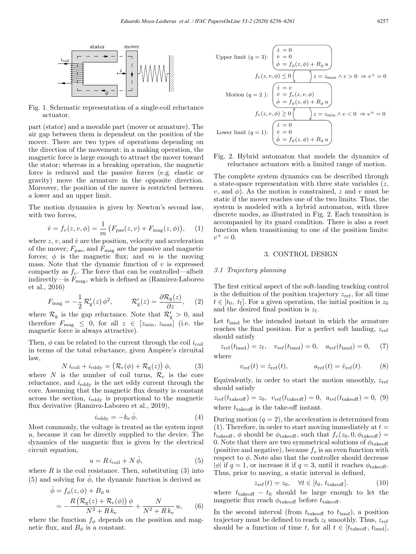

Fig. 1. Schematic representation of a single-coil reluctance actuator.

part (stator) and a movable part (mover or armature). The air gap between them is dependent on the position of the mover. There are two types of operations depending on the direction of the movement: in a making operation, the magnetic force is large enough to attract the mover toward the stator; whereas in a breaking operation, the magnetic force is reduced and the passive forces (e.g. elastic or gravity) move the armature in the opposite direction. Moreover, the position of the mover is restricted between a lower and an upper limit.

The motion dynamics is given by Newton's second law, with two forces,

$$
\dot{v} = f_v(z, v, \phi) = \frac{1}{m} \left( F_{\text{pas}}(z, v) + F_{\text{mag}}(z, \phi) \right), \quad (1)
$$

where  $z, v$ , and  $\dot{v}$  are the position, velocity and acceleration of the mover;  $F_{\text{pas}}$ , and  $F_{\text{mag}}$  are the passive and magnetic forces;  $\phi$  is the magnetic flux; and m is the moving mass. Note that the dynamic function of  $v$  is expressed compactly as  $f_v$ . The force that can be controlled—albeit indirectly—is  $F_{\text{mag}}$ , which is defined as (Ramirez-Laboreo et al., 2016)

$$
F_{\text{mag}} = -\frac{1}{2} \mathcal{R}'_{\text{g}}(z) \phi^2, \qquad \mathcal{R}'_{\text{g}}(z) = \frac{\partial \mathcal{R}_{\text{g}}(z)}{\partial z}, \quad (2)
$$

where  $\mathcal{R}_{g}$  is the gap reluctance. Note that  $\mathcal{R}'_{g} > 0$ , and therefore  $F_{\text{mag}} \leq 0$ , for all  $z \in [z_{\text{min}}, z_{\text{max}}]$  (i.e. the magnetic force is always attractive).

Then,  $\phi$  can be related to the current through the coil  $i_{\text{coil}}$ in terms of the total reluctance, given Ampère's circuital law,

$$
N i_{\text{coil}} + i_{\text{eddy}} = (\mathcal{R}_{\text{c}}(\phi) + \mathcal{R}_{\text{g}}(z)) \phi,
$$
 (3)

where N is the number of coil turns,  $\mathcal{R}_c$  is the core reluctance, and  $i_{\text{eddy}}$  is the net eddy current through the core. Assuming that the magnetic flux density is constant across the section,  $i_{\text{eddv}}$  is proportional to the magnetic flux derivative (Ramirez-Laboreo et al., 2019),

$$
i_{\text{eddy}} = -k_{\text{e}} \dot{\phi}.
$$
 (4)

Most commonly, the voltage is treated as the system input u, because it can be directly supplied to the device. The dynamics of the magnetic flux is given by the electrical circuit equation,

$$
u = R i_{\text{coil}} + N \dot{\phi},\tag{5}
$$

where  $R$  is the coil resistance. Then, substituting  $(3)$  into (5) and solving for  $\phi$ , the dynamic function is derived as

$$
\dot{\phi} = f_{\phi}(z, \phi) + B_{\phi} u
$$
  
= 
$$
-\frac{R\left(\mathcal{R}_{g}(z) + \mathcal{R}_{c}(\phi)\right)\phi}{N^{2} + R k_{e}} + \frac{N}{N^{2} + R k_{e}} u,
$$
 (6)

where the function  $f_{\phi}$  depends on the position and magnetic flux, and  $B_{\phi}$  is a constant.

Upper limit 
$$
(q = 3):
$$
  $\begin{pmatrix} \dot{z} = 0 \\ \dot{v} = 0 \\ \dot{\phi} = f_{\phi}(z, \phi) + B_{\phi} u \end{pmatrix}$   
\n $f_v(z, v, \phi) \le 0 \begin{pmatrix} \dot{\lambda} = v \\ y \end{pmatrix}$   
\n $f_v(z, v, \phi) \le 0 \begin{pmatrix} \dot{\lambda} = v \\ v = f_v(z, v, \phi) \\ \dot{\phi} = f_{\phi}(z, \phi) + B_{\phi} u \end{pmatrix}$   
\n $f_v(z, v, \phi) \ge 0 \begin{pmatrix} \dot{\lambda} = 0 \\ y \end{pmatrix}$   
\nLower limit  $(q = 1):$   $\begin{pmatrix} \dot{z} = 0 \\ \dot{v} = 0 \\ \dot{\phi} = f_{\phi}(z, \phi) + B_{\phi} u \end{pmatrix}$ 

# Fig. 2. Hybrid automaton that models the dynamics of reluctance actuators with a limited range of motion.

The complete system dynamics can be described through a state-space representation with three state variables  $(z, z)$ v, and  $\phi$ ). As the motion is constrained, z and v must be static if the mover reaches one of the two limits. Thus, the system is modeled with a hybrid automaton, with three discrete modes, as illustrated in Fig. 2. Each transition is accompanied by its guard condition. There is also a reset function when transitioning to one of the position limits:  $v^+ = 0.$ 

### 3. CONTROL DESIGN

### 3.1 Trajectory planning

The first critical aspect of the soft-landing tracking control is the definition of the position trajectory  $z_{\text{ref}}$ , for all time  $t \in [t_0, t_f]$ . For a given operation, the initial position is  $z_0$ and the desired final position is  $z_f$ .

Let  $t_{land}$  be the intended instant in which the armature reaches the final position. For a perfect soft landing,  $z_{\text{ref}}$ should satisfy

$$
z_{\rm ref}(t_{\rm land}) = z_{\rm f}, \quad v_{\rm ref}(t_{\rm land}) = 0, \quad a_{\rm ref}(t_{\rm land}) = 0, \quad (7)
$$
  
where

$$
v_{\text{ref}}(t) = \dot{z}_{\text{ref}}(t), \qquad a_{\text{ref}}(t) = \dot{v}_{\text{ref}}(t). \tag{8}
$$

Equivalently, in order to start the motion smoothly,  $z_{ref}$ should satisfy

$$
z_{\text{ref}}(t_{\text{takeoff}}) = z_0, v_{\text{ref}}(t_{\text{takeoff}}) = 0, a_{\text{ref}}(t_{\text{takeoff}}) = 0, (9)
$$
  
where  $t_{\text{takeoff}}$  is the take-off instant.

During motion  $(q = 2)$ , the acceleration is determined from (1). Therefore, in order to start moving immediately at  $t =$  $t_{\text{takeoff}}$ ,  $\phi$  should be  $\phi_{\text{takeoff}}$ , such that  $f_v(z_0, 0, \phi_{\text{takeoff}})$ 0. Note that there are two symmetrical solutions of  $\phi_{\text{takeoff}}$ (positive and negative), because  $f_v$  is an even function with respect to  $\phi$ . Note also that the controller should decrease  $|\phi|$  if  $q = 1$ , or increase it if  $q = 3$ , until it reaches  $\phi_{\text{takeoff}}$ . Thus, prior to moving, a static interval is defined,

$$
z_{\text{ref}}(t) = z_0, \quad \forall t \in [t_0, t_{\text{takeoff}}]. \tag{10}
$$

where  $t_{\text{takeoff}} - t_0$  should be large enough to let the magnetic flux reach  $\phi_{\text{takeoff}}$  before  $t_{\text{takeoff}}$ .

In the second interval (from  $t_{\text{takeoff}}$  to  $t_{\text{land}}$ ), a position trajectory must be defined to reach  $z_f$  smoothly. Thus,  $z_{ref}$ should be a function of time t, for all  $t \in [t_{\text{takeoff}}, t_{\text{land}}]$ .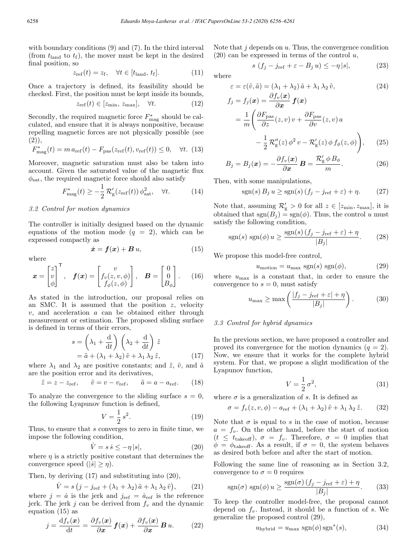with boundary conditions (9) and (7). In the third interval (from  $t_{\text{land}}$  to  $t_f$ ), the mover must be kept in the desired final position, so

$$
z_{\text{ref}}(t) = z_{\text{f}}, \quad \forall t \in [t_{\text{land}}, t_{\text{f}}]. \tag{11}
$$

Once a trajectory is defined, its feasibility should be checked. First, the position must be kept inside its bounds,

$$
z_{\rm ref}(t) \in [z_{\rm min}, z_{\rm max}], \quad \forall t. \tag{12}
$$

Secondly, the required magnetic force  $F_{\text{mag}}^*$  should be calculated, and ensure that it is always nonpositive, because repelling magnetic forces are not physically possible (see  $(2)$ ,

$$
F_{\text{mag}}^{*}(t) = m a_{\text{ref}}(t) - F_{\text{pas}}(z_{\text{ref}}(t), v_{\text{ref}}(t)) \le 0, \quad \forall t. (13)
$$

Moreover, magnetic saturation must also be taken into account. Given the saturated value of the magnetic flux  $\phi_{\text{sat}}$ , the required magnetic force should also satisfy

$$
F_{\text{mag}}^*(t) \ge -\frac{1}{2} \mathcal{R}'_{\text{g}}(z_{\text{ref}}(t)) \phi_{\text{sat}}^2, \quad \forall t. \tag{14}
$$

## 3.2 Control for motion dynamics

The controller is initially designed based on the dynamic equations of the motion mode  $(q = 2)$ , which can be expressed compactly as

$$
\dot{\boldsymbol{x}} = \boldsymbol{f}(\boldsymbol{x}) + \boldsymbol{B}\,\boldsymbol{u},\tag{15}
$$

where

$$
\boldsymbol{x} = \begin{bmatrix} z \\ v \\ \phi \end{bmatrix}^{\mathsf{T}}, \quad \boldsymbol{f}(\boldsymbol{x}) = \begin{bmatrix} v \\ f_v(z, v, \phi) \\ f_{\phi}(z, \phi) \end{bmatrix}, \quad \boldsymbol{B} = \begin{bmatrix} 0 \\ 0 \\ B_{\phi} \end{bmatrix}. \tag{16}
$$

As stated in the introduction, our proposal relies on an SMC. It is assumed that the position  $z$ , velocity  $v$ , and acceleration  $a$  can be obtained either through measurement or estimation. The proposed sliding surface is defined in terms of their errors,

$$
s = \left(\lambda_1 + \frac{d}{dt}\right) \left(\lambda_2 + \frac{d}{dt}\right) \tilde{z}
$$
  
=  $\tilde{a} + \left(\lambda_1 + \lambda_2\right) \tilde{v} + \lambda_1 \lambda_2 \tilde{z},$  (17)

where  $\lambda_1$  and  $\lambda_2$  are positive constants; and  $\tilde{z}$ ,  $\tilde{v}$ , and  $\tilde{a}$ are the position error and its derivatives,

$$
\tilde{z} = z - z_{\text{ref}}, \quad \tilde{v} = v - v_{\text{ref}}, \quad \tilde{a} = a - a_{\text{ref}}.
$$
\n(18)

To analyze the convergence to the sliding surface  $s = 0$ , the following Lyapunov function is defined,

$$
V = \frac{1}{2} s^2.
$$
 (19)

Thus, to ensure that s converges to zero in finite time, we impose the following condition,

$$
\dot{V} = s \,\dot{s} \le -\eta \, |s|,\tag{20}
$$

where  $\eta$  is a strictly positive constant that determines the convergence speed  $(|\dot{s}| \geq \eta)$ .

Then, by deriving (17) and substituting into (20),

$$
\dot{V} = s (j - j_{\text{ref}} + (\lambda_1 + \lambda_2) \tilde{a} + \lambda_1 \lambda_2 \tilde{v}), \qquad (21)
$$

where  $j = \dot{a}$  is the jerk and  $j_{ref} = \dot{a}_{ref}$  is the reference jerk. The jerk j can be derived from  $f_v$  and the dynamic equation (15) as

$$
j = \frac{\mathrm{d}f_v(\boldsymbol{x})}{\mathrm{d}t} = \frac{\partial f_v(\boldsymbol{x})}{\partial \boldsymbol{x}} \boldsymbol{f}(\boldsymbol{x}) + \frac{\partial f_v(\boldsymbol{x})}{\partial \boldsymbol{x}} \boldsymbol{B} u. \qquad (22)
$$

Note that  $j$  depends on  $u$ . Thus, the convergence condition  $(20)$  can be expressed in terms of the control u,

$$
s\left(f_j - j_{\text{ref}} + \varepsilon - B_j u\right) \le -\eta \, |s|,\tag{23}
$$

where

$$
\varepsilon = \varepsilon(\tilde{v}, \tilde{a}) = (\lambda_1 + \lambda_2) \tilde{a} + \lambda_1 \lambda_2 \tilde{v}, \tag{24}
$$

$$
f_j = f_j(\boldsymbol{x}) = \frac{\partial f_v(\boldsymbol{x})}{\partial \boldsymbol{x}} \boldsymbol{f}(\boldsymbol{x})
$$
  
= 
$$
\frac{1}{m} \left( \frac{\partial F_{\text{pas}}}{\partial z} (z, v) v + \frac{\partial F_{\text{pas}}}{\partial v} (z, v) a - \frac{1}{2} \mathcal{R}_g''(z) \phi^2 v - \mathcal{R}_g'(z) \phi f_\phi(z, \phi) \right), \quad (25)
$$

$$
B_j = B_j(\boldsymbol{x}) = -\frac{\partial f_v(\boldsymbol{x})}{\partial \boldsymbol{x}} \boldsymbol{B} = \frac{\mathcal{R}'_g \phi B_\phi}{m}.
$$
 (26)

Then, with some manipulations,

$$
sgn(s) B_j u \geq sgn(s) (f_j - j_{ref} + \varepsilon) + \eta. \tag{27}
$$

Note that, assuming  $\mathcal{R}'_{g} > 0$  for all  $z \in [z_{\min}, z_{\max}]$ , it is obtained that  $sgn(B_i) = sgn(\phi)$ . Thus, the control u must satisfy the following condition,

$$
sgn(s) \, sgn(\phi) \, u \ge \frac{sgn(s) \, (f_j - j_{\text{ref}} + \varepsilon) + \eta}{|B_j|}.\tag{28}
$$

We propose this model-free control,

$$
u_{\text{motion}} = u_{\text{max}} \text{ sgn}(s) \text{ sgn}(\phi), \tag{29}
$$

where  $u_{\text{max}}$  is a constant that, in order to ensure the convergence to  $s = 0$ , must satisfy

$$
u_{\max} \ge \max\left(\frac{|f_j - j_{\text{ref}} + \varepsilon| + \eta}{|B_j|}\right). \tag{30}
$$

# 3.3 Control for hybrid dynamics

In the previous section, we have proposed a controller and proved its convergence for the motion dynamics  $(q = 2)$ . Now, we ensure that it works for the complete hybrid system. For that, we propose a slight modification of the Lyapunov function,

$$
V = \frac{1}{2}\sigma^2,\tag{31}
$$

where  $\sigma$  is a generalization of s. It is defined as

$$
\sigma = f_v(z, v, \phi) - a_{ref} + (\lambda_1 + \lambda_2) \tilde{v} + \lambda_1 \lambda_2 \tilde{z}.
$$
 (32)

Note that  $\sigma$  is equal to s in the case of motion, because  $a = f_v$ . On the other hand, before the start of motion  $(t \leq t_{\text{takeoff}}), \sigma = f_v.$  Therefore,  $\sigma = 0$  implies that  $\phi = \phi_{\text{takeoff}}$ . As a result, if  $\sigma = 0$ , the system behaves as desired both before and after the start of motion.

Following the same line of reasoning as in Section 3.2, convergence to  $\sigma = 0$  requires

$$
sgn(\sigma) \; sgn(\phi) \; u \ge \frac{sgn(\sigma) \left(f_j - j_{\text{ref}} + \varepsilon\right) + \eta}{|B_j|}.\tag{33}
$$

To keep the controller model-free, the proposal cannot depend on  $f_v$ . Instead, it should be a function of s. We generalize the proposed control (29),

$$
u_{\text{hybrid}} = u_{\text{max}} \, \text{sgn}(\phi) \, \text{sgn}^*(s),\tag{34}
$$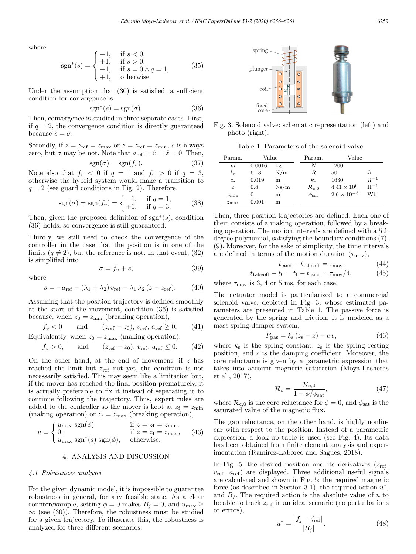where

$$
sgn^{*}(s) = \begin{cases} -1, & \text{if } s < 0, \\ +1, & \text{if } s > 0, \\ -1, & \text{if } s = 0 \land q = 1, \\ +1, & \text{otherwise.} \end{cases}
$$
(35)

Under the assumption that (30) is satisfied, a sufficient condition for convergence is

$$
sgn^*(s) = sgn(\sigma). \tag{36}
$$

Then, convergence is studied in three separate cases. First, if  $q = 2$ , the convergence condition is directly guaranteed because  $s = \sigma$ .

Secondly, if  $z = z_{\text{ref}} = z_{\text{max}}$  or  $z = z_{\text{ref}} = z_{\text{min}}$ , s is always zero, but  $\sigma$  may be not. Note that  $a_{\text{ref}} = \tilde{v} = \tilde{z} = 0$ . Then,

$$
sgn(\sigma) = sgn(f_v). \tag{37}
$$

Note also that  $f_v < 0$  if  $q = 1$  and  $f_v > 0$  if  $q = 3$ , otherwise the hybrid system would make a transition to  $q = 2$  (see guard conditions in Fig. 2). Therefore,

$$
sgn(\sigma) = sgn(f_v) = \begin{cases} -1, & \text{if } q = 1, \\ +1, & \text{if } q = 3. \end{cases}
$$
 (38)

Then, given the proposed definition of  $sgn^*(s)$ , condition (36) holds, so convergence is still guaranteed.

Thirdly, we still need to check the convergence of the controller in the case that the position is in one of the limits  $(q \neq 2)$ , but the reference is not. In that event, (32) is simplified into

$$
\sigma = f_v + s,\tag{39}
$$

where

$$
s = -a_{\text{ref}} - (\lambda_1 + \lambda_2) v_{\text{ref}} - \lambda_1 \lambda_2 (z - z_{\text{ref}}). \tag{40}
$$

Assuming that the position trajectory is defined smoothly at the start of the movement, condition (36) is satisfied because, when  $z_0 = z_{\text{min}}$  (breaking operation),

$$
f_v < 0
$$
 and  $(z_{ref} - z_0), v_{ref}, a_{ref} \ge 0.$  (41)

Equivalently, when  $z_0 = z_{\text{max}}$  (making operation),

$$
f_v > 0
$$
, and  $(z_{ref} - z_0), v_{ref}, a_{ref} \le 0.$  (42)

On the other hand, at the end of movement, if  $z$  has reached the limit but  $z_{ref}$  not yet, the condition is not necessarily satisfied. This may seem like a limitation but, if the mover has reached the final position prematurely, it is actually preferable to fix it instead of separating it to continue following the trajectory. Thus, expert rules are added to the controller so the mover is kept at  $z_f = z_{\text{min}}$ (making operation) or  $z_f = z_{\text{max}}$  (breaking operation),

$$
u = \begin{cases} u_{\text{max}} \text{ sgn}(\phi) & \text{if } z = z_{\text{f}} = z_{\text{min}}, \\ 0, & \text{if } z = z_{\text{f}} = z_{\text{max}}, \\ u_{\text{max}} \text{ sgn}^*(s) \text{ sgn}(\phi), & \text{otherwise.} \end{cases}
$$
(43)

# 4. ANALYSIS AND DISCUSSION

### 4.1 Robustness analysis

For the given dynamic model, it is impossible to guarantee robustness in general, for any feasible state. As a clear counterexample, setting  $\phi = 0$  makes  $B_j = 0$ , and  $u_{\text{max}} \geq$  $\infty$  (see (30)). Therefore, the robustness must be studied for a given trajectory. To illustrate this, the robustness is analyzed for three different scenarios.



Fig. 3. Solenoid valve: schematic representation (left) and photo (right).

Table 1. Parameters of the solenoid valve.

| Param.         | Value    |      | Param.                       | Value                |               |
|----------------|----------|------|------------------------------|----------------------|---------------|
| m              | 0.0016   | kg   | N                            | 1200                 |               |
| $k_{\rm s}$    | 61.8     | N/m  | R                            | 50                   | Ω             |
| $z_{\rm s}$    | 0.019    | m    | $k_{\rm e}$                  | 1630                 | $\Omega^{-1}$ |
| $\mathfrak{c}$ | 0.8      | Ns/m | $\mathcal{R}_{\mathrm{c},0}$ | $4.41 \times 10^{6}$ | $H^{-1}$      |
| $z_{\rm min}$  | $\theta$ | m    | $\phi_{\rm sat}$             | $2.6 \times 10^{-5}$ | Wb            |
| $z_{\rm max}$  | 0.001    | m    |                              |                      |               |

Then, three position trajectories are defined. Each one of them consists of a making operation, followed by a breaking operation. The motion intervals are defined with a 5th degree polynomial, satisfying the boundary conditions (7), (9). Moreover, for the sake of simplicity, the time intervals are defined in terms of the motion duration  $(\tau_{\text{mov}})$ ,

$$
t_{\text{land}} - t_{\text{takeoff}} = \tau_{\text{mov}},\tag{44}
$$

$$
t_{\text{takeoff}} - t_0 = t_{\text{f}} - t_{\text{land}} = \tau_{\text{mov}}/4,\tag{45}
$$

where  $\tau_{\text{mov}}$  is 3, 4 or 5 ms, for each case.

The actuator model is particularized to a commercial solenoid valve, depicted in Fig. 3, whose estimated parameters are presented in Table 1. The passive force is generated by the spring and friction. It is modeled as a mass-spring-damper system,

$$
F_{\text{pas}} = k_{\text{s}} \left( z_{\text{s}} - z \right) - c \, v,\tag{46}
$$

where  $k<sub>s</sub>$  is the spring constant,  $z<sub>s</sub>$  is the spring resting position, and  $c$  is the damping coefficient. Moreover, the core reluctance is given by a parametric expression that takes into account magnetic saturation (Moya-Lasheras et al., 2017),

$$
\mathcal{R}_{\rm c} = \frac{\mathcal{R}_{\rm c,0}}{1 - \phi/\phi_{\rm sat}},\tag{47}
$$

where  $\mathcal{R}_{c,0}$  is the core reluctance for  $\phi = 0$ , and  $\phi_{\text{sat}}$  is the saturated value of the magnetic flux.

The gap reluctance, on the other hand, is highly nonlinear with respect to the position. Instead of a parametric expression, a look-up table is used (see Fig. 4). Its data has been obtained from finite element analysis and experimentation (Ramirez-Laboreo and Sagues, 2018).

In Fig. 5, the desired position and its derivatives  $(z_{ref},$  $v_{\text{ref}}$ ,  $a_{\text{ref}}$ ) are displayed. Three additional useful signals are calculated and shown in Fig. 5: the required magnetic force (as described in Section 3.1), the required action  $u^*$ , and  $B_i$ . The required action is the absolute value of u to be able to track  $z_{\text{ref}}$  in an ideal scenario (no perturbations or errors),

$$
u^* = \frac{|f_j - j_{\text{ref}}|}{|B_j|}.
$$
 (48)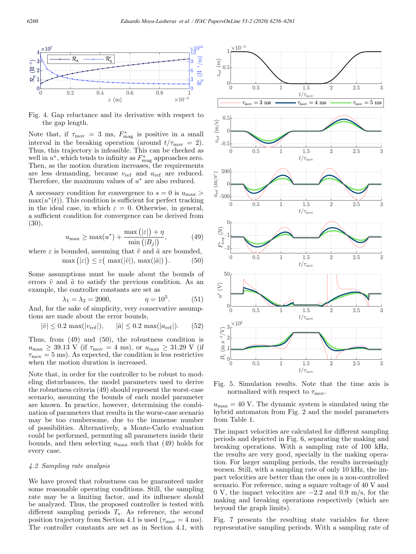

Fig. 4. Gap reluctance and its derivative with respect to the gap length.

Note that, if  $\tau_{\text{mov}} = 3$  ms,  $F_{\text{mag}}^*$  is positive in a small interval in the breaking operation (around  $t/\tau_{\text{mov}} = 2$ ). Thus, this trajectory is infeasible. This can be checked as well in  $u^*$ , which tends to infinity as  $F_{\text{mag}}^*$  approaches zero. Then, as the motion duration increases, the requirements are less demanding, because  $v_{ref}$  and  $a_{ref}$  are reduced. Therefore, the maximum values of  $u^*$  are also reduced.

A necessary condition for convergence to  $s = 0$  is  $u_{\text{max}} >$  $\max(u^*(t))$ . This condition is sufficient for perfect tracking in the ideal case, in which  $\varepsilon = 0$ . Otherwise, in general, a sufficient condition for convergence can be derived from (30),

$$
u_{\max} \ge \max(u^*) + \frac{\max\left(|\varepsilon|\right) + \eta}{\min\left(|B_j|\right)},\tag{49}
$$

where  $\varepsilon$  is bounded, assuming that  $\tilde{v}$  and  $\tilde{a}$  are bounded,

$$
\max\big(|\varepsilon|\big) \le \varepsilon\big(\max(|\tilde{v}|), \max(|\tilde{a}|)\big). \tag{50}
$$

Some assumptions must be made about the bounds of errors  $\tilde{v}$  and  $\tilde{a}$  to satisfy the previous condition. As an example, the controller constants are set as

$$
\lambda_1 = \lambda_2 = 2000,
$$
\n $\eta = 10^5.$ \n(51)

And, for the sake of simplicity, very conservative assumptions are made about the error bounds,

$$
|\tilde{v}| \le 0.2 \max(|v_{\text{ref}}|), \quad |\tilde{a}| \le 0.2 \max(|a_{\text{ref}}|).
$$
 (52)

Thus, from (49) and (50), the robustness condition is  $u_{\text{max}} \geq 39.13 \text{ V}$  (if  $\tau_{\text{mov}} = 4 \text{ ms}$ ), or  $u_{\text{max}} \geq 31.29 \text{ V}$  (if  $\tau_{\text{mov}} = 5$  ms). As expected, the condition is less restrictive when the motion duration is increased.

Note that, in order for the controller to be robust to modeling disturbances, the model parameters used to derive the robustness criteria (49) should represent the worst-case scenario, assuming the bounds of each model parameter are known. In practice, however, determining the combination of parameters that results in the worse-case scenario may be too cumbersome, due to the immense number of possibilities. Alternatively, a Monte-Carlo evaluation could be performed, permuting all parameters inside their bounds, and then selecting  $u_{\text{max}}$  such that (49) holds for every case.

#### 4.2 Sampling rate analysis

We have proved that robustness can be guaranteed under some reasonable operating conditions. Still, the sampling rate may be a limiting factor, and its influence should be analyzed. Thus, the proposed controller is tested with different sampling periods  $T_s$ . As reference, the second position trajectory from Section 4.1 is used ( $\tau_{\text{mov}} = 4$  ms). The controller constants are set as in Section 4.1, with



Fig. 5. Simulation results. Note that the time axis is normalized with respect to  $\tau_{\rm mov}$ .

 $u_{\text{max}} = 40$  V. The dynamic system is simulated using the hybrid automaton from Fig. 2 and the model parameters from Table 1.

The impact velocities are calculated for different sampling periods and depicted in Fig. 6, separating the making and breaking operations. With a sampling rate of 100 kHz, the results are very good, specially in the making operation. For larger sampling periods, the results increasingly worsen. Still, with a sampling rate of only 10 kHz, the impact velocities are better than the ones in a non-controlled scenario. For reference, using a square voltage of 40 V and 0 V, the impact velocities are −2.2 and 0.9 m/s, for the making and breaking operations respectively (which are beyond the graph limits).

Fig. 7 presents the resulting state variables for three representative sampling periods. With a sampling rate of